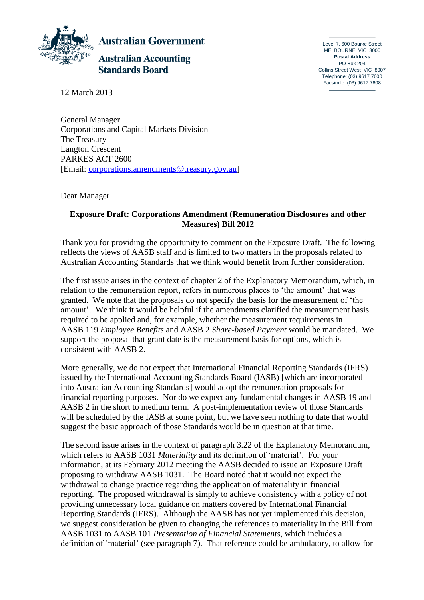

Level 7, 600 Bourke Street MELBOURNE VIC 3000 **Postal Address**  PO Box 204 Collins Street West VIC 8007 Telephone: (03) 9617 7600 Facsimile: (03) 9617 7608

12 March 2013

General Manager Corporations and Capital Markets Division The Treasury Langton Crescent PARKES ACT 2600 [Email: [corporations.amendments@treasury.gov.au\]](mailto:corporations.amendments@treasury.gov.au?subject=Submission:%20Exposure%20Draft%20-%20Corporations%20Amendments%20–%20Improving%20disclosure%20requirements)

Dear Manager

## **Exposure Draft: Corporations Amendment (Remuneration Disclosures and other Measures) Bill 2012**

Thank you for providing the opportunity to comment on the Exposure Draft. The following reflects the views of AASB staff and is limited to two matters in the proposals related to Australian Accounting Standards that we think would benefit from further consideration.

The first issue arises in the context of chapter 2 of the Explanatory Memorandum, which, in relation to the remuneration report, refers in numerous places to 'the amount' that was granted. We note that the proposals do not specify the basis for the measurement of 'the amount'. We think it would be helpful if the amendments clarified the measurement basis required to be applied and, for example, whether the measurement requirements in AASB 119 *Employee Benefits* and AASB 2 *Share-based Payment* would be mandated. We support the proposal that grant date is the measurement basis for options, which is consistent with AASB 2.

More generally, we do not expect that International Financial Reporting Standards (IFRS) issued by the International Accounting Standards Board (IASB) [which are incorporated into Australian Accounting Standards] would adopt the remuneration proposals for financial reporting purposes. Nor do we expect any fundamental changes in AASB 19 and AASB 2 in the short to medium term. A post-implementation review of those Standards will be scheduled by the IASB at some point, but we have seen nothing to date that would suggest the basic approach of those Standards would be in question at that time.

The second issue arises in the context of paragraph 3.22 of the Explanatory Memorandum, which refers to AASB 1031 *Materiality* and its definition of 'material'. For your information, at its February 2012 meeting the AASB decided to issue an Exposure Draft proposing to withdraw AASB 1031. The Board noted that it would not expect the withdrawal to change practice regarding the application of materiality in financial reporting. The proposed withdrawal is simply to achieve consistency with a policy of not providing unnecessary local guidance on matters covered by International Financial Reporting Standards (IFRS). Although the AASB has not yet implemented this decision, we suggest consideration be given to changing the references to materiality in the Bill from AASB 1031 to AASB 101 *Presentation of Financial Statements*, which includes a definition of 'material' (see paragraph 7). That reference could be ambulatory, to allow for